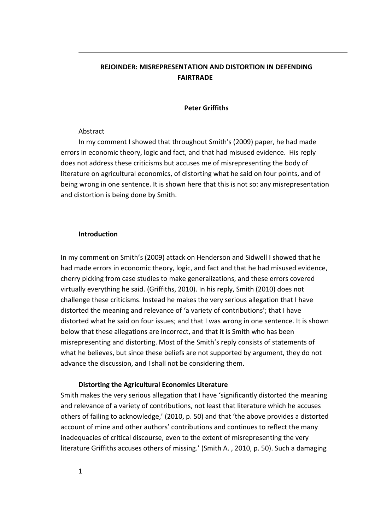## **REJOINDER: MISREPRESENTATION AND DISTORTION IN DEFENDING FAIRTRADE**

## **Peter Griffiths**

## Abstract

In my comment I showed that throughout Smith's (2009) paper, he had made errors in economic theory, logic and fact, and that had misused evidence. His reply does not address these criticisms but accuses me of misrepresenting the body of literature on agricultural economics, of distorting what he said on four points, and of being wrong in one sentence. It is shown here that this is not so: any misrepresentation and distortion is being done by Smith.

## **Introduction**

In my comment on Smith's (2009) attack on Henderson and Sidwell I showed that he had made errors in economic theory, logic, and fact and that he had misused evidence, cherry picking from case studies to make generalizations, and these errors covered virtually everything he said. (Griffiths, 2010). In his reply, Smith (2010) does not challenge these criticisms. Instead he makes the very serious allegation that I have distorted the meaning and relevance of 'a variety of contributions'; that I have distorted what he said on four issues; and that I was wrong in one sentence. It is shown below that these allegations are incorrect, and that it is Smith who has been misrepresenting and distorting. Most of the Smith's reply consists of statements of what he believes, but since these beliefs are not supported by argument, they do not advance the discussion, and I shall not be considering them.

## **Distorting the Agricultural Economics Literature**

Smith makes the very serious allegation that I have 'significantly distorted the meaning and relevance of a variety of contributions, not least that literature which he accuses others of failing to acknowledge,' (2010, p. 50) and that 'the above provides a distorted account of mine and other authors' contributions and continues to reflect the many inadequacies of critical discourse, even to the extent of misrepresenting the very literature Griffiths accuses others of missing.' (Smith A. , 2010, p. 50). Such a damaging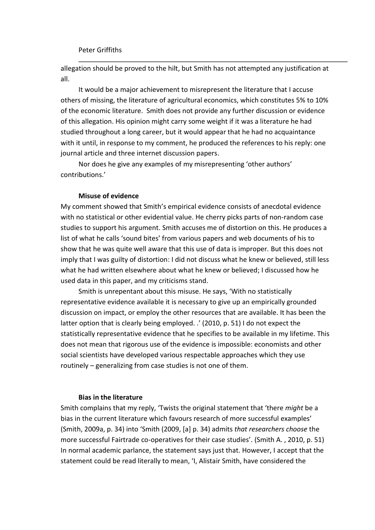allegation should be proved to the hilt, but Smith has not attempted any justification at all.

It would be a major achievement to misrepresent the literature that I accuse others of missing, the literature of agricultural economics, which constitutes 5% to 10% of the economic literature. Smith does not provide any further discussion or evidence of this allegation. His opinion might carry some weight if it was a literature he had studied throughout a long career, but it would appear that he had no acquaintance with it until, in response to my comment, he produced the references to his reply: one journal article and three internet discussion papers.

Nor does he give any examples of my misrepresenting 'other authors' contributions.'

## **Misuse of evidence**

My comment showed that Smith's empirical evidence consists of anecdotal evidence with no statistical or other evidential value. He cherry picks parts of non-random case studies to support his argument. Smith accuses me of distortion on this. He produces a list of what he calls 'sound bites' from various papers and web documents of his to show that he was quite well aware that this use of data is improper. But this does not imply that I was guilty of distortion: I did not discuss what he knew or believed, still less what he had written elsewhere about what he knew or believed; I discussed how he used data in this paper, and my criticisms stand.

Smith is unrepentant about this misuse. He says, 'With no statistically representative evidence available it is necessary to give up an empirically grounded discussion on impact, or employ the other resources that are available. It has been the latter option that is clearly being employed. .' (2010, p. 51) I do not expect the statistically representative evidence that he specifies to be available in my lifetime. This does not mean that rigorous use of the evidence is impossible: economists and other social scientists have developed various respectable approaches which they use routinely – generalizing from case studies is not one of them.

## **Bias in the literature**

Smith complains that my reply, 'Twists the original statement that 'there *might* be a bias in the current literature which favours research of more successful examples' (Smith, 2009a, p. 34) into 'Smith (2009, [a] p. 34) admits *that researchers choose* the more successful Fairtrade co-operatives for their case studies'. (Smith A. , 2010, p. 51) In normal academic parlance, the statement says just that. However, I accept that the statement could be read literally to mean, 'I, Alistair Smith, have considered the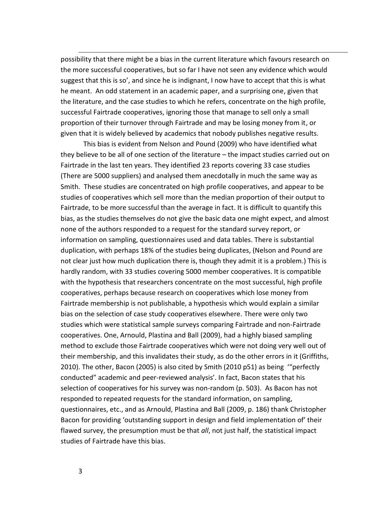possibility that there might be a bias in the current literature which favours research on the more successful cooperatives, but so far I have not seen any evidence which would suggest that this is so', and since he is indignant, I now have to accept that this is what he meant. An odd statement in an academic paper, and a surprising one, given that the literature, and the case studies to which he refers, concentrate on the high profile, successful Fairtrade cooperatives, ignoring those that manage to sell only a small proportion of their turnover through Fairtrade and may be losing money from it, or given that it is widely believed by academics that nobody publishes negative results.

This bias is evident from Nelson and Pound (2009) who have identified what they believe to be all of one section of the literature – the impact studies carried out on Fairtrade in the last ten years. They identified 23 reports covering 33 case studies (There are 5000 suppliers) and analysed them anecdotally in much the same way as Smith. These studies are concentrated on high profile cooperatives, and appear to be studies of cooperatives which sell more than the median proportion of their output to Fairtrade, to be more successful than the average in fact. It is difficult to quantify this bias, as the studies themselves do not give the basic data one might expect, and almost none of the authors responded to a request for the standard survey report, or information on sampling, questionnaires used and data tables. There is substantial duplication, with perhaps 18% of the studies being duplicates, (Nelson and Pound are not clear just how much duplication there is, though they admit it is a problem.) This is hardly random, with 33 studies covering 5000 member cooperatives. It is compatible with the hypothesis that researchers concentrate on the most successful, high profile cooperatives, perhaps because research on cooperatives which lose money from Fairtrade membership is not publishable, a hypothesis which would explain a similar bias on the selection of case study cooperatives elsewhere. There were only two studies which were statistical sample surveys comparing Fairtrade and non-Fairtrade cooperatives. One, Arnould, Plastina and Ball (2009), had a highly biased sampling method to exclude those Fairtrade cooperatives which were not doing very well out of their membership, and this invalidates their study, as do the other errors in it (Griffiths, 2010). The other, Bacon (2005) is also cited by Smith (2010 p51) as being '"perfectly conducted" academic and peer-reviewed analysis'. In fact, Bacon states that his selection of cooperatives for his survey was non-random (p. 503). As Bacon has not responded to repeated requests for the standard information, on sampling, questionnaires, etc., and as Arnould, Plastina and Ball (2009, p. 186) thank Christopher Bacon for providing 'outstanding support in design and field implementation of' their flawed survey, the presumption must be that *all*, not just half, the statistical impact studies of Fairtrade have this bias.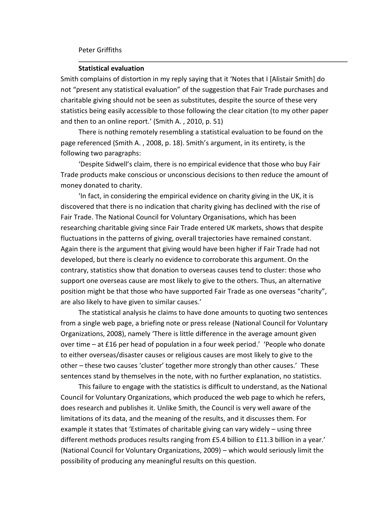#### Peter Griffiths

#### **Statistical evaluation**

Smith complains of distortion in my reply saying that it 'Notes that I [Alistair Smith] do not "present any statistical evaluation" of the suggestion that Fair Trade purchases and charitable giving should not be seen as substitutes, despite the source of these very statistics being easily accessible to those following the clear citation (to my other paper and then to an online report.' (Smith A. , 2010, p. 51)

There is nothing remotely resembling a statistical evaluation to be found on the page referenced (Smith A. , 2008, p. 18). Smith's argument, in its entirety, is the following two paragraphs:

'Despite Sidwell's claim, there is no empirical evidence that those who buy Fair Trade products make conscious or unconscious decisions to then reduce the amount of money donated to charity.

'In fact, in considering the empirical evidence on charity giving in the UK, it is discovered that there is no indication that charity giving has declined with the rise of Fair Trade. The National Council for Voluntary Organisations, which has been researching charitable giving since Fair Trade entered UK markets, shows that despite fluctuations in the patterns of giving, overall trajectories have remained constant. Again there is the argument that giving would have been higher if Fair Trade had not developed, but there is clearly no evidence to corroborate this argument. On the contrary, statistics show that donation to overseas causes tend to cluster: those who support one overseas cause are most likely to give to the others. Thus, an alternative position might be that those who have supported Fair Trade as one overseas "charity", are also likely to have given to similar causes.'

The statistical analysis he claims to have done amounts to quoting two sentences from a single web page, a briefing note or press release (National Council for Voluntary Organizations, 2008), namely 'There is little difference in the average amount given over time – at £16 per head of population in a four week period.' 'People who donate to either overseas/disaster causes or religious causes are most likely to give to the other – these two causes 'cluster' together more strongly than other causes.' These sentences stand by themselves in the note, with no further explanation, no statistics.

This failure to engage with the statistics is difficult to understand, as the National Council for Voluntary Organizations, which produced the web page to which he refers, does research and publishes it. Unlike Smith, the Council is very well aware of the limitations of its data, and the meaning of the results, and it discusses them. For example it states that 'Estimates of charitable giving can vary widely – using three different methods produces results ranging from £5.4 billion to £11.3 billion in a year.' (National Council for Voluntary Organizations, 2009) – which would seriously limit the possibility of producing any meaningful results on this question.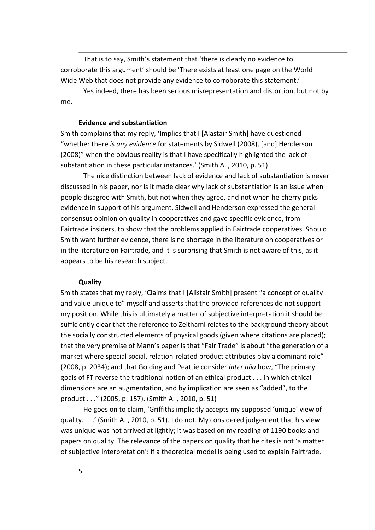That is to say, Smith's statement that 'there is clearly no evidence to corroborate this argument' should be 'There exists at least one page on the World Wide Web that does not provide any evidence to corroborate this statement.'

Yes indeed, there has been serious misrepresentation and distortion, but not by me.

#### **Evidence and substantiation**

Smith complains that my reply, 'Implies that I [Alastair Smith] have questioned "whether there *is any evidence* for statements by Sidwell (2008), [and] Henderson (2008)" when the obvious reality is that I have specifically highlighted the lack of substantiation in these particular instances.' (Smith A. , 2010, p. 51).

The nice distinction between lack of evidence and lack of substantiation is never discussed in his paper, nor is it made clear why lack of substantiation is an issue when people disagree with Smith, but not when they agree, and not when he cherry picks evidence in support of his argument. Sidwell and Henderson expressed the general consensus opinion on quality in cooperatives and gave specific evidence, from Fairtrade insiders, to show that the problems applied in Fairtrade cooperatives. Should Smith want further evidence, there is no shortage in the literature on cooperatives or in the literature on Fairtrade, and it is surprising that Smith is not aware of this, as it appears to be his research subject.

#### **Quality**

Smith states that my reply, 'Claims that I [Alistair Smith] present "a concept of quality and value unique to" myself and asserts that the provided references do not support my position. While this is ultimately a matter of subjective interpretation it should be sufficiently clear that the reference to Zeithaml relates to the background theory about the socially constructed elements of physical goods (given where citations are placed); that the very premise of Mann's paper is that "Fair Trade" is about "the generation of a market where special social, relation-related product attributes play a dominant role" (2008, p. 2034); and that Golding and Peattie consider *inter alia* how, "The primary goals of FT reverse the traditional notion of an ethical product . . . in which ethical dimensions are an augmentation, and by implication are seen as "added", to the product . . ." (2005, p. 157). (Smith A. , 2010, p. 51)

He goes on to claim, 'Griffiths implicitly accepts my supposed 'unique' view of quality. . .' (Smith A. , 2010, p. 51). I do not. My considered judgement that his view was unique was not arrived at lightly; it was based on my reading of 1190 books and papers on quality. The relevance of the papers on quality that he cites is not 'a matter of subjective interpretation': if a theoretical model is being used to explain Fairtrade,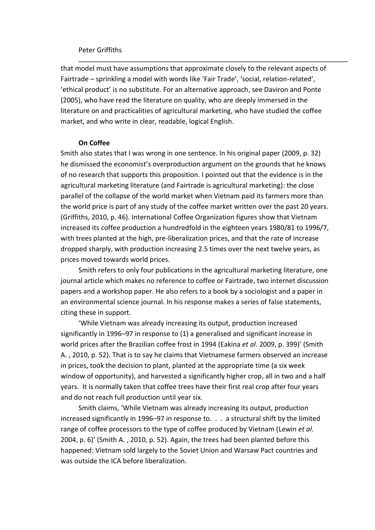## Peter Griffiths

that model must have assumptions that approximate closely to the relevant aspects of Fairtrade – sprinkling a model with words like 'Fair Trade', 'social, relation-related', 'ethical product' is no substitute. For an alternative approach, see Daviron and Ponte (2005), who have read the literature on quality, who are deeply immersed in the literature on and practicalities of agricultural marketing, who have studied the coffee market, and who write in clear, readable, logical English.

#### **On Coffee**

Smith also states that I was wrong in one sentence. In his original paper (2009, p. 32) he dismissed the economist's overproduction argument on the grounds that he knows of no research that supports this proposition. I pointed out that the evidence is in the agricultural marketing literature (and Fairtrade is agricultural marketing): the close parallel of the collapse of the world market when Vietnam paid its farmers more than the world price is part of any study of the coffee market written over the past 20 years. (Griffiths, 2010, p. 46). International Coffee Organization figures show that Vietnam increased its coffee production a hundredfold in the eighteen years 1980/81 to 1996/7, with trees planted at the high, pre-liberalization prices, and that the rate of increase dropped sharply, with production increasing 2.5 times over the next twelve years, as prices moved towards world prices.

Smith refers to only four publications in the agricultural marketing literature, one journal article which makes no reference to coffee or Fairtrade, two internet discussion papers and a workshop paper. He also refers to a book by a sociologist and a paper in an environmental science journal. In his response makes a series of false statements, citing these in support.

'While Vietnam was already increasing its output, production increased significantly in 1996–97 in response to (1) a generalised and significant increase in world prices after the Brazilian coffee frost in 1994 (Eakina *et al*. 2009, p. 399)' (Smith A. , 2010, p. 52). That is to say he claims that Vietnamese farmers observed an increase in prices, took the decision to plant, planted at the appropriate time (a six week window of opportunity), and harvested a significantly higher crop, all in two and a half years. It is normally taken that coffee trees have their first real crop after four years and do not reach full production until year six.

Smith claims, 'While Vietnam was already increasing its output, production increased significantly in 1996–97 in response to. . . a structural shift by the limited range of coffee processors to the type of coffee produced by Vietnam (Lewin *et al*. 2004, p. 6)' (Smith A. , 2010, p. 52). Again, the trees had been planted before this happened: Vietnam sold largely to the Soviet Union and Warsaw Pact countries and was outside the ICA before liberalization.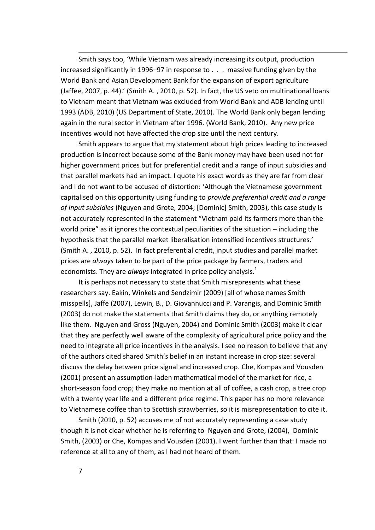Smith says too, 'While Vietnam was already increasing its output, production increased significantly in 1996–97 in response to . . . massive funding given by the World Bank and Asian Development Bank for the expansion of export agriculture (Jaffee, 2007, p. 44).' (Smith A. , 2010, p. 52). In fact, the US veto on multinational loans to Vietnam meant that Vietnam was excluded from World Bank and ADB lending until 1993 (ADB, 2010) (US Department of State, 2010). The World Bank only began lending again in the rural sector in Vietnam after 1996. (World Bank, 2010). Any new price incentives would not have affected the crop size until the next century.

Smith appears to argue that my statement about high prices leading to increased production is incorrect because some of the Bank money may have been used not for higher government prices but for preferential credit and a range of input subsidies and that parallel markets had an impact. I quote his exact words as they are far from clear and I do not want to be accused of distortion: 'Although the Vietnamese government capitalised on this opportunity using funding to *provide preferential credit and a range of input subsidies* (Nguyen and Grote, 2004; [Dominic] Smith, 2003), this case study is not accurately represented in the statement "Vietnam paid its farmers more than the world price" as it ignores the contextual peculiarities of the situation – including the hypothesis that the parallel market liberalisation intensified incentives structures.' (Smith A. , 2010, p. 52). In fact preferential credit, input studies and parallel market prices are *always* taken to be part of the price package by farmers, traders and economists. They are *always* integrated in price policy analysis.<sup>1</sup>

It is perhaps not necessary to state that Smith misrepresents what these researchers say. Eakin, Winkels and Sendzimir (2009) [all of whose names Smith misspells], Jaffe (2007), Lewin, B., D. Giovannucci and P. Varangis, and Dominic Smith (2003) do not make the statements that Smith claims they do, or anything remotely like them. Nguyen and Gross (Nguyen, 2004) and Dominic Smith (2003) make it clear that they are perfectly well aware of the complexity of agricultural price policy and the need to integrate all price incentives in the analysis. I see no reason to believe that any of the authors cited shared Smith's belief in an instant increase in crop size: several discuss the delay between price signal and increased crop. Che, Kompas and Vousden (2001) present an assumption-laden mathematical model of the market for rice, a short-season food crop; they make no mention at all of coffee, a cash crop, a tree crop with a twenty year life and a different price regime. This paper has no more relevance to Vietnamese coffee than to Scottish strawberries, so it is misrepresentation to cite it.

Smith (2010, p. 52) accuses me of not accurately representing a case study though it is not clear whether he is referring to Nguyen and Grote, (2004), Dominic Smith, (2003) or Che, Kompas and Vousden (2001). I went further than that: I made no reference at all to any of them, as I had not heard of them.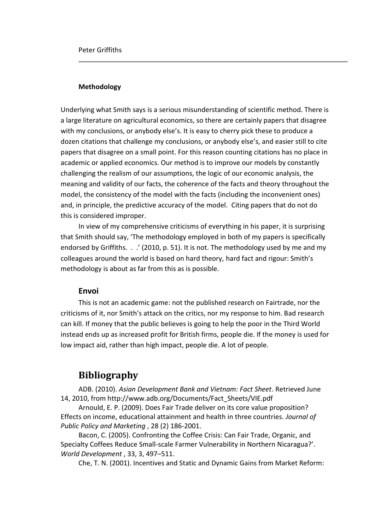## **Methodology**

Underlying what Smith says is a serious misunderstanding of scientific method. There is a large literature on agricultural economics, so there are certainly papers that disagree with my conclusions, or anybody else's. It is easy to cherry pick these to produce a dozen citations that challenge my conclusions, or anybody else's, and easier still to cite papers that disagree on a small point. For this reason counting citations has no place in academic or applied economics. Our method is to improve our models by constantly challenging the realism of our assumptions, the logic of our economic analysis, the meaning and validity of our facts, the coherence of the facts and theory throughout the model, the consistency of the model with the facts (including the inconvenient ones) and, in principle, the predictive accuracy of the model. Citing papers that do not do this is considered improper.

In view of my comprehensive criticisms of everything in his paper, it is surprising that Smith should say, 'The methodology employed in both of my papers is specifically endorsed by Griffiths. . .' (2010, p. 51). It is not. The methodology used by me and my colleagues around the world is based on hard theory, hard fact and rigour: Smith's methodology is about as far from this as is possible.

## **Envoi**

This is not an academic game: not the published research on Fairtrade, nor the criticisms of it, nor Smith's attack on the critics, nor my response to him. Bad research can kill. If money that the public believes is going to help the poor in the Third World instead ends up as increased profit for British firms, people die. If the money is used for low impact aid, rather than high impact, people die. A lot of people.

# **Bibliography**

ADB. (2010). *Asian Development Bank and Vietnam: Fact Sheet*. Retrieved June 14, 2010, from http://www.adb.org/Documents/Fact\_Sheets/VIE.pdf

Arnould, E. P. (2009). Does Fair Trade deliver on its core value proposition? Effects on income, educational attainment and health in three countries. *Journal of Public Policy and Marketing* , 28 (2) 186-2001.

Bacon, C. (2005). Confronting the Coffee Crisis: Can Fair Trade, Organic, and Specialty Coffees Reduce Small-scale Farmer Vulnerability in Northern Nicaragua?'. *World Development* , 33, 3, 497–511.

Che, T. N. (2001). Incentives and Static and Dynamic Gains from Market Reform: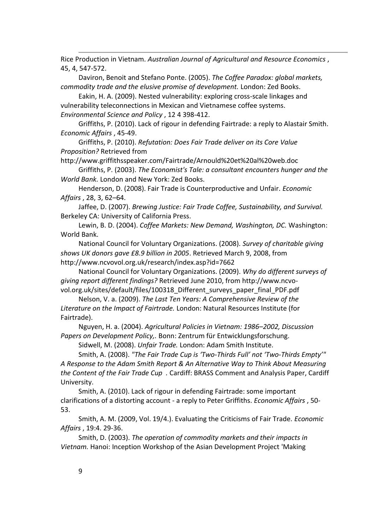Rice Production in Vietnam. *Australian Journal of Agricultural and Resource Economics* , 45, 4, 547-572.

Daviron, Benoit and Stefano Ponte. (2005). *The Coffee Paradox: global markets, commodity trade and the elusive promise of development.* London: Zed Books.

Eakin, H. A. (2009). Nested vulnerability: exploring cross-scale linkages and vulnerability teleconnections in Mexican and Vietnamese coffee systems. *Environmental Science and Policy* , 12 4 398-412.

Griffiths, P. (2010). Lack of rigour in defending Fairtrade: a reply to Alastair Smith. *Economic Affairs* , 45-49.

Griffiths, P. (2010). *Refutation: Does Fair Trade deliver on its Core Value Proposition?* Retrieved from

http://www.griffithsspeaker.com/Fairtrade/Arnould%20et%20al%20web.doc

Griffiths, P. (2003). *The Economist's Tale: a consultant encounters hunger and the World Bank.* London and New York: Zed Books.

Henderson, D. (2008). Fair Trade is Counterproductive and Unfair. *Economic Affairs* , 28, 3, 62–64.

Jaffee, D. (2007). *Brewing Justice: Fair Trade Coffee, Sustainability, and Survival.* Berkeley CA: University of California Press.

Lewin, B. D. (2004). *Coffee Markets: New Demand, Washington, DC.* Washington: World Bank.

National Council for Voluntary Organizations. (2008). *Survey of charitable giving shows UK donors gave £8.9 billion in 2005*. Retrieved March 9, 2008, from http://www.ncvovol.org.uk/research/index.asp?id=7662

National Council for Voluntary Organizations. (2009). *Why do different surveys of giving report different findings?* Retrieved June 2010, from http://www.ncvovol.org.uk/sites/default/files/100318\_Different\_surveys\_paper\_final\_PDF.pdf

Nelson, V. a. (2009). *The Last Ten Years: A Comprehensive Review of the Literature on the Impact of Fairtrade.* London: Natural Resources Institute (for Fairtrade).

Nguyen, H. a. (2004). *Agricultural Policies in Vietnam: 1986–2002, Discussion Papers on Development Policy,.* Bonn: Zentrum für Entwicklungsforschung.

Sidwell, M. (2008). *Unfair Trade.* London: Adam Smith Institute.

Smith, A. (2008). *"The Fair Trade Cup is 'Two-Thirds Full' not 'Two-Thirds Empty'" A Response to the Adam Smith Report & An Alternative Way to Think About Measuring the Content of the Fair Trade Cup .* Cardiff: BRASS Comment and Analysis Paper, Cardiff University.

Smith, A. (2010). Lack of rigour in defending Fairtrade: some important clarifications of a distorting account - a reply to Peter Griffiths. *Economic Affairs* , 50- 53.

Smith, A. M. (2009, Vol. 19/4.). Evaluating the Criticisms of Fair Trade. *Economic Affairs* , 19:4. 29-36.

Smith, D. (2003). *The operation of commodity markets and their impacts in Vietnam.* Hanoi: Inception Workshop of the Asian Development Project 'Making